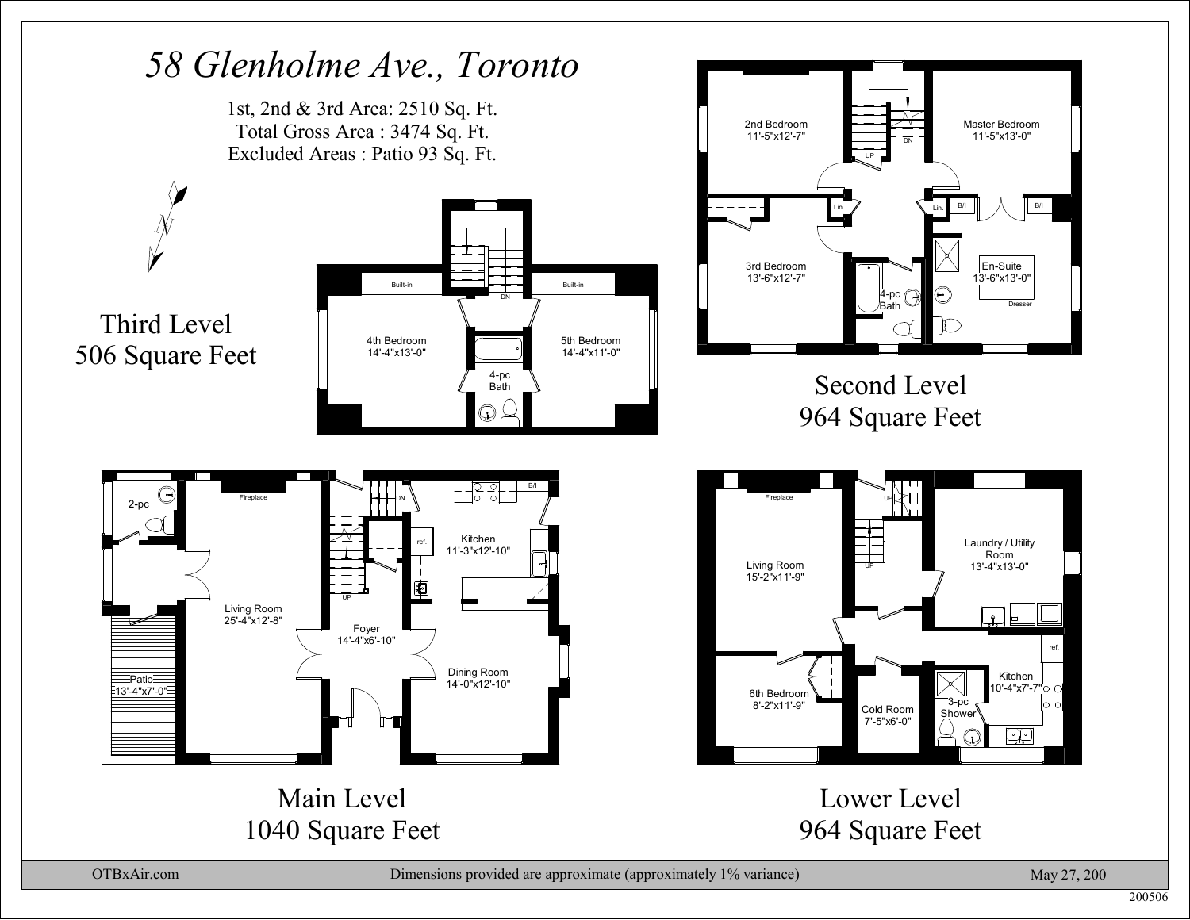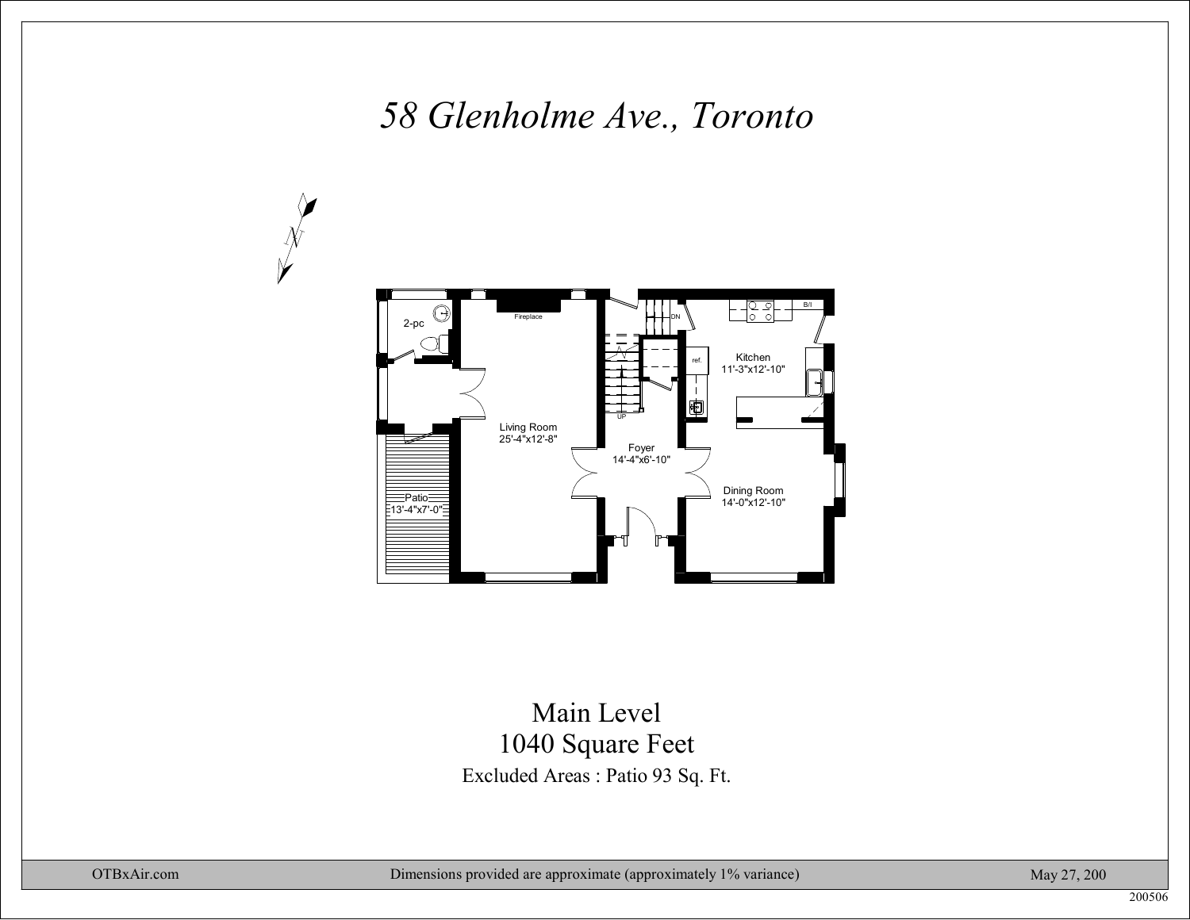

#### Excluded Areas : Patio 93 Sq. Ft. Main Level1040 Square Feet

N

May 27, 200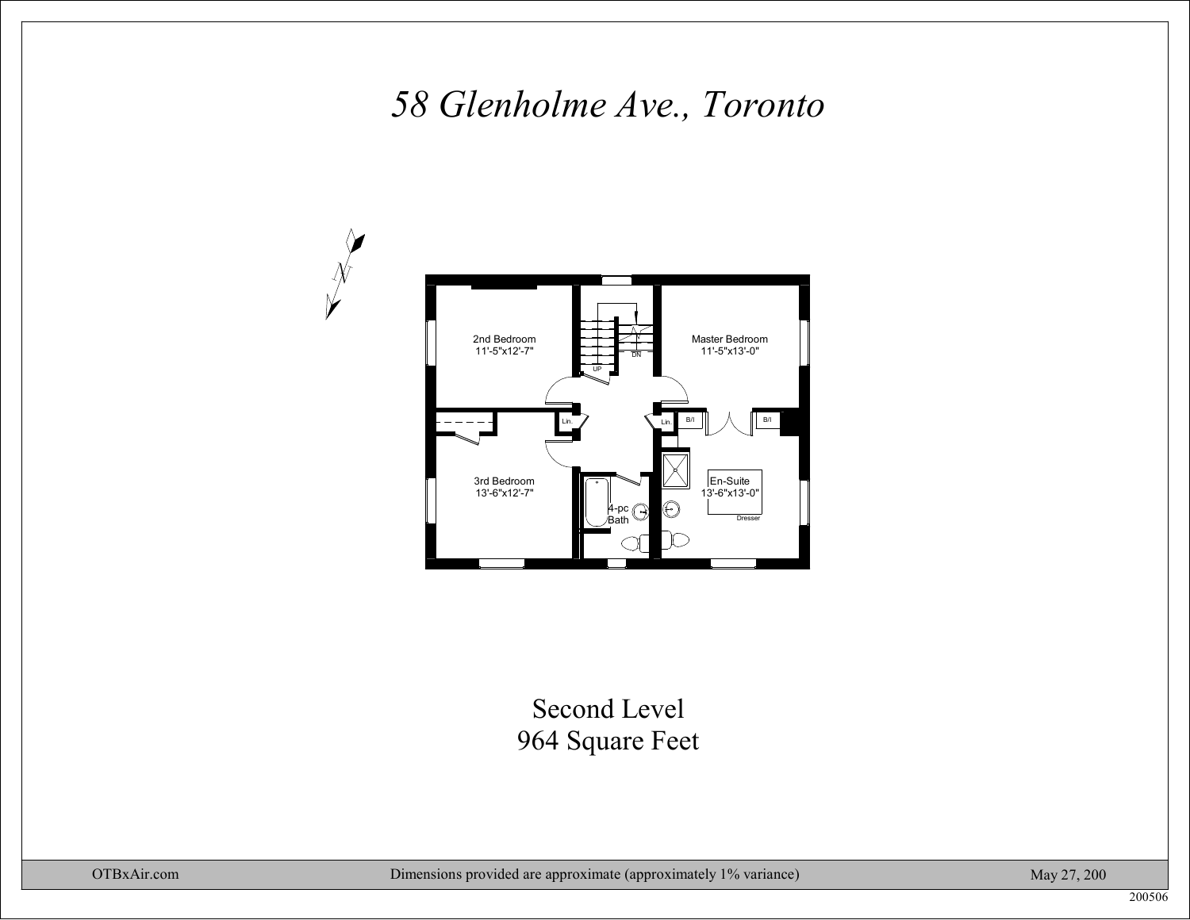

### Second Level964 Square Feet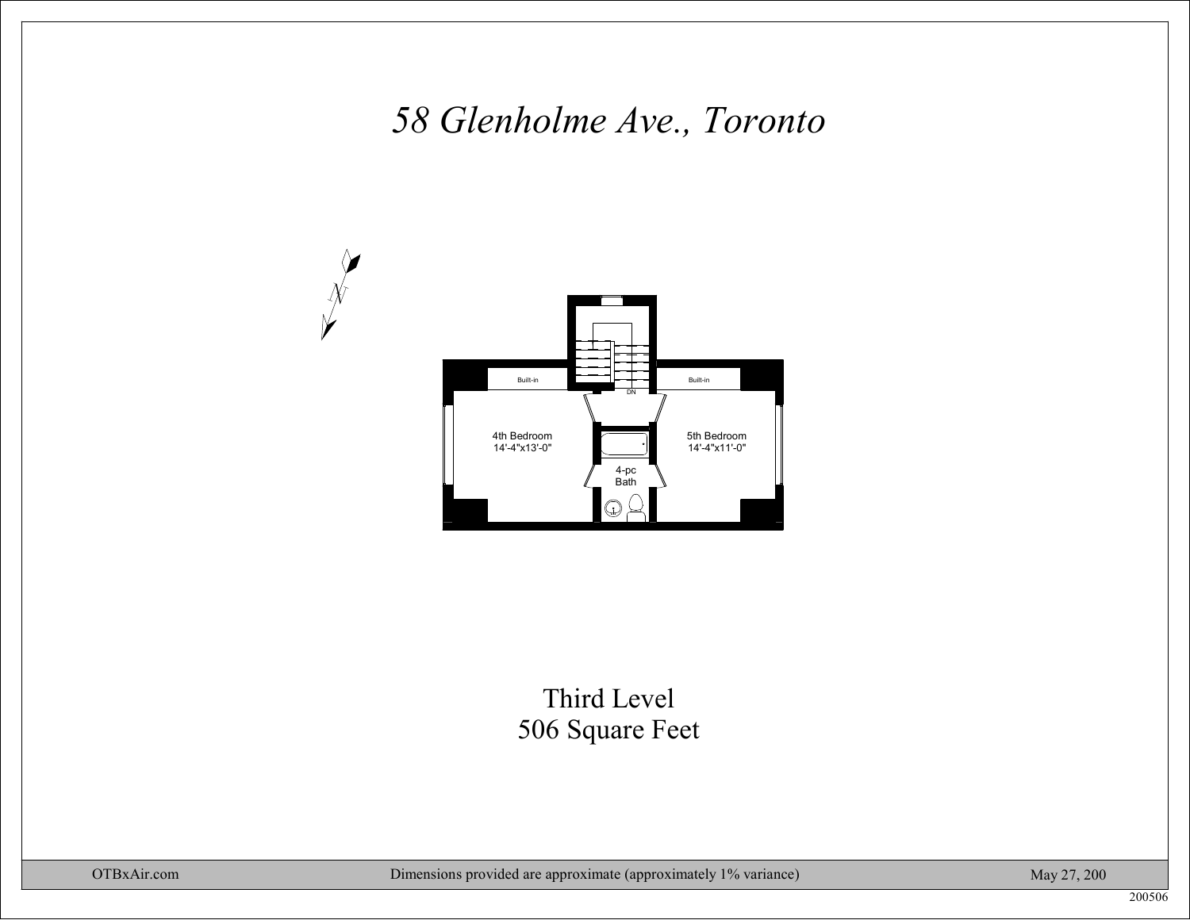

### Third Level506 Square Feet